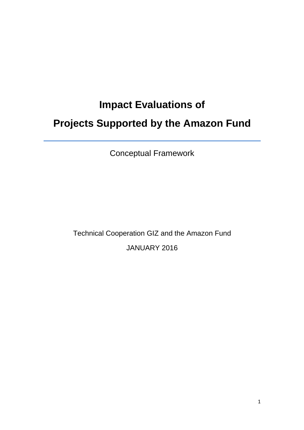# **Impact Evaluations of Projects Supported by the Amazon Fund**

Conceptual Framework

Technical Cooperation GIZ and the Amazon Fund JANUARY 2016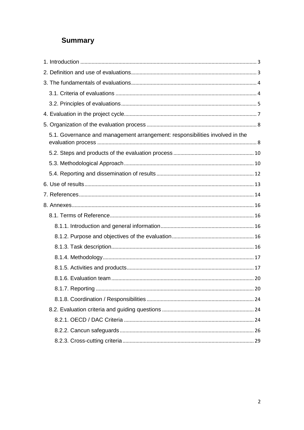# **Summary**

| 5.1. Governance and management arrangement: responsibilities involved in the |  |
|------------------------------------------------------------------------------|--|
|                                                                              |  |
|                                                                              |  |
|                                                                              |  |
|                                                                              |  |
|                                                                              |  |
|                                                                              |  |
|                                                                              |  |
|                                                                              |  |
|                                                                              |  |
|                                                                              |  |
|                                                                              |  |
|                                                                              |  |
|                                                                              |  |
|                                                                              |  |
|                                                                              |  |
|                                                                              |  |
|                                                                              |  |
|                                                                              |  |
|                                                                              |  |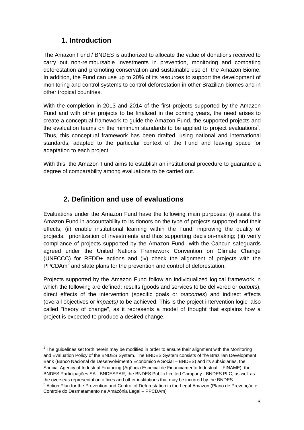# **1. Introduction**

The Amazon Fund / BNDES is authorized to allocate the value of donations received to carry out non-reimbursable investments in prevention, monitoring and combating deforestation and promoting conservation and sustainable use of the Amazon Biome. In addition, the Fund can use up to 20% of its resources to support the development of monitoring and control systems to control deforestation in other Brazilian biomes and in other tropical countries.

With the completion in 2013 and 2014 of the first projects supported by the Amazon Fund and with other projects to be finalized in the coming years, the need arises to create a conceptual framework to guide the Amazon Fund, the supported projects and the evaluation teams on the minimum standards to be applied to project evaluations<sup>1</sup>. Thus, this conceptual framework has been drafted, using national and international standards, adapted to the particular context of the Fund and leaving space for adaptation to each project.

With this, the Amazon Fund aims to establish an institutional procedure to guarantee a degree of comparability among evaluations to be carried out.

# **2. Definition and use of evaluations**

Evaluations under the Amazon Fund have the following main purposes: (i) assist the Amazon Fund in accountability to its donors on the type of projects supported and their effects; (ii) enable institutional learning within the Fund, improving the quality of projects, prioritization of investments and thus supporting decision-making; (iii) verify compliance of projects supported by the Amazon Fund with the Cancun safeguards agreed under the United Nations Framework Convention on Climate Change (UNFCCC) for REDD+ actions and (iv) check the alignment of projects with the PPCDAm<sup>2</sup> and state plans for the prevention and control of deforestation.

Projects supported by the Amazon Fund follow an individualized logical framework in which the following are defined: results (goods and services to be delivered or *outputs*), direct effects of the intervention (specific goals or outcomes) and indirect effects (overall objectives or impacts) to be achieved. This is the project intervention logic, also called "theory of change", as it represents a model of thought that explains how a project is expected to produce a desired change.

l  $1$  The guidelines set forth herein may be modified in order to ensure their alignment with the Monitoring and Evaluation Policy of the BNDES System. The BNDES System consists of the Brazilian Development Bank (Banco Nacional de Desenvolvimento Econômico e Social – BNDES) and its subsidiaries, the Special Agency of Industrial Financing (Agência Especial de Financiamento Industrial - FINAME), the BNDES Participações SA - BNDESPAR, the BNDES Public Limited Company - BNDES PLC, as well as the overseas representation offices and other institutions that may be incurred by the BNDES. <sup>2</sup> Action Plan for the Prevention and Control of Deforestation in the Legal Amazon (Plano de Prevenção e

Controle do Desmatamento na Amazônia Legal – PPCDAm)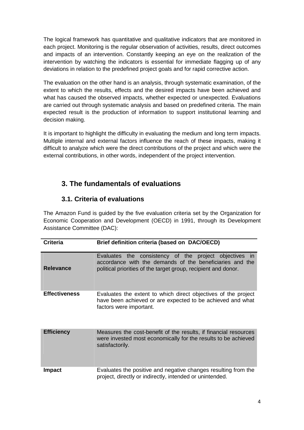The logical framework has quantitative and qualitative indicators that are monitored in each project. Monitoring is the regular observation of activities, results, direct outcomes and impacts of an intervention. Constantly keeping an eye on the realization of the intervention by watching the indicators is essential for immediate flagging up of any deviations in relation to the predefined project goals and for rapid corrective action.

The evaluation on the other hand is an analysis, through systematic examination, of the extent to which the results, effects and the desired impacts have been achieved and what has caused the observed impacts, whether expected or unexpected. Evaluations are carried out through systematic analysis and based on predefined criteria. The main expected result is the production of information to support institutional learning and decision making.

It is important to highlight the difficulty in evaluating the medium and long term impacts. Multiple internal and external factors influence the reach of these impacts, making it difficult to analyze which were the direct contributions of the project and which were the external contributions, in other words, independent of the project intervention.

# **3. The fundamentals of evaluations**

# **3.1. Criteria of evaluations**

The Amazon Fund is guided by the five evaluation criteria set by the Organization for Economic Cooperation and Development (OECD) in 1991, through its Development Assistance Committee (DAC):

| <b>Criteria</b>      | Brief definition criteria (based on DAC/OECD)                                                                                                                                        |  |  |  |
|----------------------|--------------------------------------------------------------------------------------------------------------------------------------------------------------------------------------|--|--|--|
| <b>Relevance</b>     | Evaluates the consistency of the project objectives in<br>accordance with the demands of the beneficiaries and the<br>political priorities of the target group, recipient and donor. |  |  |  |
| <b>Effectiveness</b> | Evaluates the extent to which direct objectives of the project<br>have been achieved or are expected to be achieved and what<br>factors were important.                              |  |  |  |
| <b>Efficiency</b>    | Measures the cost-benefit of the results, if financial resources<br>were invested most economically for the results to be achieved<br>satisfactorily.                                |  |  |  |
| <b>Impact</b>        | Evaluates the positive and negative changes resulting from the<br>project, directly or indirectly, intended or unintended.                                                           |  |  |  |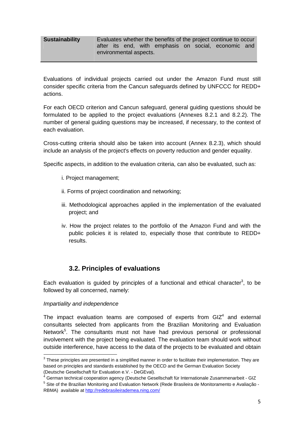**Sustainability** Evaluates whether the benefits of the project continue to occur after its end, with emphasis on social, economic and environmental aspects.

Evaluations of individual projects carried out under the Amazon Fund must still consider specific criteria from the Cancun safeguards defined by UNFCCC for REDD+ actions.

For each OECD criterion and Cancun safeguard, general guiding questions should be formulated to be applied to the project evaluations (Annexes 8.2.1 and 8.2.2). The number of general guiding questions may be increased, if necessary, to the context of each evaluation.

Cross-cutting criteria should also be taken into account (Annex 8.2.3), which should include an analysis of the project's effects on poverty reduction and gender equality.

Specific aspects, in addition to the evaluation criteria, can also be evaluated, such as:

- i. Project management;
- ii. Forms of project coordination and networking;
- iii. Methodological approaches applied in the implementation of the evaluated project; and
- iv. How the project relates to the portfolio of the Amazon Fund and with the public policies it is related to, especially those that contribute to REDD+ results.

# **3.2. Principles of evaluations**

Each evaluation is guided by principles of a functional and ethical character<sup>3</sup>, to be followed by all concerned, namely:

#### Impartiality and independence

l

The impact evaluation teams are composed of experts from  $GIZ<sup>4</sup>$  and external consultants selected from applicants from the Brazilian Monitoring and Evaluation Network<sup>5</sup>. The consultants must not have had previous personal or professional involvement with the project being evaluated. The evaluation team should work without outside interference, have access to the data of the projects to be evaluated and obtain

 $3$  These principles are presented in a simplified manner in order to facilitate their implementation. They are based on principles and standards established by the OECD and the German Evaluation Society (Deutsche Gesellschaft für Evaluation e.V. - DeGEval).

<sup>&</sup>lt;sup>4</sup> German technical cooperation agency (Deutsche Gesellschaft für Internationale Zusammenarbeit - GIZ

<sup>&</sup>lt;sup>5</sup> Site of the Brazilian Monitoring and Evaluation Network (Rede Brasileira de Monitoramento e Avaliação -RBMA) available at http://redebrasileirademea.ning.com/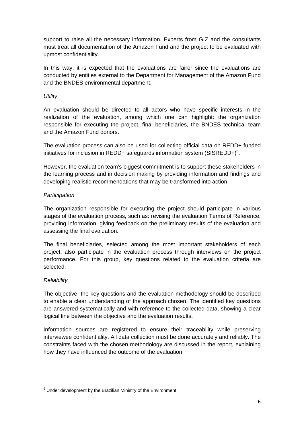support to raise all the necessary information. Experts from GIZ and the consultants must treat all documentation of the Amazon Fund and the project to be evaluated with upmost confidentiality.

In this way, it is expected that the evaluations are fairer since the evaluations are conducted by entities external to the Department for Management of the Amazon Fund and the BNDES environmental department.

# **Utility**

An evaluation should be directed to all actors who have specific interests in the realization of the evaluation, among which one can highlight: the organization responsible for executing the project, final beneficiaries, the BNDES technical team and the Amazon Fund donors.

The evaluation process can also be used for collecting official data on REDD+ funded initiatives for inclusion in REDD+ safeguards information system (SISREDD+) $6$ .

However, the evaluation team's biggest commitment is to support these stakeholders in the learning process and in decision making by providing information and findings and developing realistic recommendations that may be transformed into action.

# **Participation**

The organization responsible for executing the project should participate in various stages of the evaluation process, such as: revising the evaluation Terms of Reference, providing information, giving feedback on the preliminary results of the evaluation and assessing the final evaluation.

The final beneficiaries, selected among the most important stakeholders of each project, also participate in the evaluation process through interviews on the project performance. For this group, key questions related to the evaluation criteria are selected.

# **Reliability**

l

The objective, the key questions and the evaluation methodology should be described to enable a clear understanding of the approach chosen. The identified key questions are answered systematically and with reference to the collected data, showing a clear logical line between the objective and the evaluation results.

Information sources are registered to ensure their traceability while preserving interviewee confidentiality. All data collection must be done accurately and reliably. The constraints faced with the chosen methodology are discussed in the report, explaining how they have influenced the outcome of the evaluation.

 $6$  Under development by the Brazilian Ministry of the Environment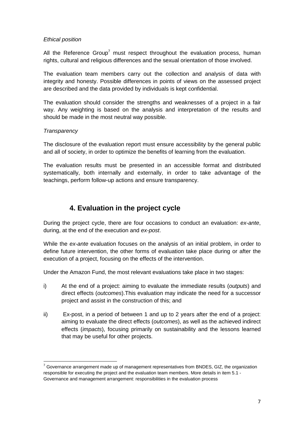# Ethical position

All the Reference Group<sup>7</sup> must respect throughout the evaluation process, human rights, cultural and religious differences and the sexual orientation of those involved.

The evaluation team members carry out the collection and analysis of data with integrity and honesty. Possible differences in points of views on the assessed project are described and the data provided by individuals is kept confidential.

The evaluation should consider the strengths and weaknesses of a project in a fair way. Any weighting is based on the analysis and interpretation of the results and should be made in the most neutral way possible.

# **Transparency**

 $\overline{a}$ 

The disclosure of the evaluation report must ensure accessibility by the general public and all of society, in order to optimize the benefits of learning from the evaluation.

The evaluation results must be presented in an accessible format and distributed systematically, both internally and externally, in order to take advantage of the teachings, perform follow-up actions and ensure transparency.

# **4. Evaluation in the project cycle**

During the project cycle, there are four occasions to conduct an evaluation: ex-ante, during, at the end of the execution and ex-post.

While the ex-ante evaluation focuses on the analysis of an initial problem, in order to define future intervention, the other forms of evaluation take place during or after the execution of a project, focusing on the effects of the intervention.

Under the Amazon Fund, the most relevant evaluations take place in two stages:

- i) At the end of a project: aiming to evaluate the immediate results (*outputs*) and direct effects (outcomes).This evaluation may indicate the need for a successor project and assist in the construction of this; and
- ii) Ex-post, in a period of between 1 and up to 2 years after the end of a project: aiming to evaluate the direct effects (outcomes), as well as the achieved indirect effects (impacts), focusing primarily on sustainability and the lessons learned that may be useful for other projects.

 $7$  Governance arrangement made up of management representatives from BNDES, GIZ, the organization responsible for executing the project and the evaluation team members. More details in item 5.1 - Governance and management arrangement: responsibilities in the evaluation process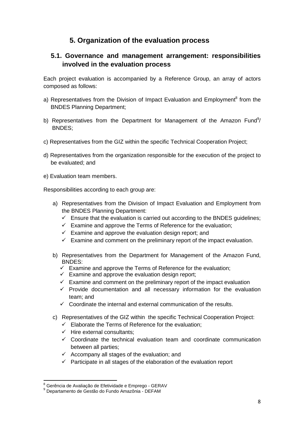# **5. Organization of the evaluation process**

# **5.1. Governance and management arrangement: responsibilities involved in the evaluation process**

Each project evaluation is accompanied by a Reference Group, an array of actors composed as follows:

- a) Representatives from the Division of Impact Evaluation and Employment<sup>8</sup> from the BNDES Planning Department;
- b) Representatives from the Department for Management of the Amazon Fund $9/$ BNDES;
- c) Representatives from the GIZ within the specific Technical Cooperation Project;
- d) Representatives from the organization responsible for the execution of the project to be evaluated; and
- e) Evaluation team members.

Responsibilities according to each group are:

- a) Representatives from the Division of Impact Evaluation and Employment from the BNDES Planning Department:
	- $\checkmark$  Ensure that the evaluation is carried out according to the BNDES guidelines;
	- $\checkmark$  Examine and approve the Terms of Reference for the evaluation;
	- $\checkmark$  Examine and approve the evaluation design report; and
	- $\checkmark$  Examine and comment on the preliminary report of the impact evaluation.
- b) Representatives from the Department for Management of the Amazon Fund, BNDES:
	- $\checkmark$  Examine and approve the Terms of Reference for the evaluation;
	- $\checkmark$  Examine and approve the evaluation design report;
	- $\checkmark$  Examine and comment on the preliminary report of the impact evaluation
	- $\checkmark$  Provide documentation and all necessary information for the evaluation team; and
	- $\checkmark$  Coordinate the internal and external communication of the results.
- c) Representatives of the GIZ within the specific Technical Cooperation Project:
	- $\checkmark$  Elaborate the Terms of Reference for the evaluation;
	- $\checkmark$  Hire external consultants:
	- $\checkmark$  Coordinate the technical evaluation team and coordinate communication between all parties;
	- $\checkmark$  Accompany all stages of the evaluation; and
	- $\checkmark$  Participate in all stages of the elaboration of the evaluation report

 $\overline{a}$ <sup>8</sup> Gerência de Avaliação de Efetividade e Emprego - GERAV

<sup>&</sup>lt;sup>9</sup> Departamento de Gestão do Fundo Amazônia - DEFAM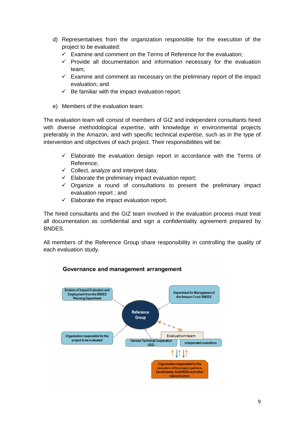- d) Representatives from the organization responsible for the execution of the project to be evaluated:
	- $\checkmark$  Examine and comment on the Terms of Reference for the evaluation:
	- $\checkmark$  Provide all documentation and information necessary for the evaluation team;
	- $\checkmark$  Examine and comment as necessary on the preliminary report of the impact evaluation; and
	- $\checkmark$  Be familiar with the impact evaluation report.
- e) Members of the evaluation team:

The evaluation team will consist of members of GIZ and independent consultants hired with diverse methodological expertise, with knowledge in environmental projects preferably in the Amazon, and with specific technical expertise, such as in the type of intervention and objectives of each project. Their responsibilities will be:

- $\checkmark$  Elaborate the evaluation design report in accordance with the Terms of Reference;
- $\checkmark$  Collect, analyze and interpret data;
- $\checkmark$  Elaborate the preliminary impact evaluation report;
- $\checkmark$  Organize a round of consultations to present the preliminary impact evaluation report ; and
- $\checkmark$  Elaborate the impact evaluation report.

The hired consultants and the GIZ team involved in the evaluation process must treat all documentation as confidential and sign a confidentiality agreement prepared by BNDES.

All members of the Reference Group share responsibility in controlling the quality of each evaluation study.



# Governance and management arrangement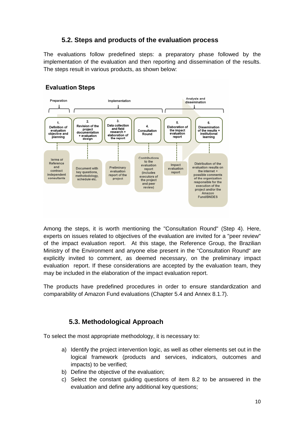# **5.2. Steps and products of the evaluation process**

The evaluations follow predefined steps: a preparatory phase followed by the implementation of the evaluation and then reporting and dissemination of the results. The steps result in various products, as shown below:



# **Evaluation Steps**

Among the steps, it is worth mentioning the "Consultation Round" (Step 4). Here, experts on issues related to objectives of the evaluation are invited for a "peer review" of the impact evaluation report. At this stage, the Reference Group, the Brazilian Ministry of the Environment and anyone else present in the "Consultation Round" are explicitly invited to comment, as deemed necessary, on the preliminary impact evaluation report. If these considerations are accepted by the evaluation team, they may be included in the elaboration of the impact evaluation report.

The products have predefined procedures in order to ensure standardization and comparability of Amazon Fund evaluations (Chapter 5.4 and Annex 8.1.7).

# **5.3. Methodological Approach**

To select the most appropriate methodology, it is necessary to:

- a) Identify the project intervention logic, as well as other elements set out in the logical framework (products and services, indicators, outcomes and impacts) to be verified;
- b) Define the objective of the evaluation;
- c) Select the constant guiding questions of item 8.2 to be answered in the evaluation and define any additional key questions;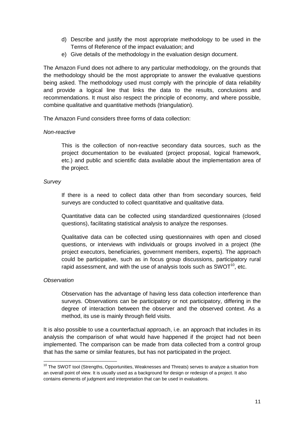- d) Describe and justify the most appropriate methodology to be used in the Terms of Reference of the impact evaluation; and
- e) Give details of the methodology in the evaluation design document.

The Amazon Fund does not adhere to any particular methodology, on the grounds that the methodology should be the most appropriate to answer the evaluative questions being asked. The methodology used must comply with the principle of data reliability and provide a logical line that links the data to the results, conclusions and recommendations. It must also respect the principle of economy, and where possible, combine qualitative and quantitative methods (triangulation).

The Amazon Fund considers three forms of data collection:

# Non-reactive

This is the collection of non-reactive secondary data sources, such as the project documentation to be evaluated (project proposal, logical framework, etc.) and public and scientific data available about the implementation area of the project.

# **Survey**

If there is a need to collect data other than from secondary sources, field surveys are conducted to collect quantitative and qualitative data.

Quantitative data can be collected using standardized questionnaires (closed questions), facilitating statistical analysis to analyze the responses.

Qualitative data can be collected using questionnaires with open and closed questions, or interviews with individuals or groups involved in a project (the project executors, beneficiaries, government members, experts). The approach could be participative, such as in focus group discussions, participatory rural rapid assessment, and with the use of analysis tools such as  $SWOT^{10}$ . etc.

# **Observation**

Observation has the advantage of having less data collection interference than surveys. Observations can be participatory or not participatory, differing in the degree of interaction between the observer and the observed context. As a method, its use is mainly through field visits.

It is also possible to use a counterfactual approach, i.e. an approach that includes in its analysis the comparison of what would have happened if the project had not been implemented. The comparison can be made from data collected from a control group that has the same or similar features, but has not participated in the project.

 $\overline{a}$  $10$  The SWOT tool (Strengths, Opportunities, Weaknesses and Threats) serves to analyze a situation from an overall point of view. It is usually used as a background for design or redesign of a project. It also contains elements of judgment and interpretation that can be used in evaluations.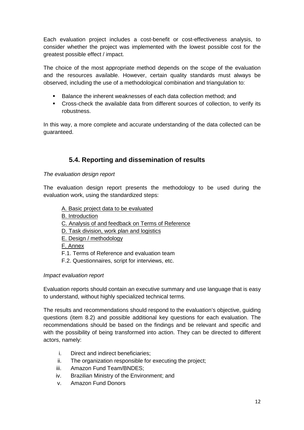Each evaluation project includes a cost-benefit or cost-effectiveness analysis, to consider whether the project was implemented with the lowest possible cost for the greatest possible effect / impact.

The choice of the most appropriate method depends on the scope of the evaluation and the resources available. However, certain quality standards must always be observed, including the use of a methodological combination and triangulation to:

- Balance the inherent weaknesses of each data collection method; and
- Cross-check the available data from different sources of collection, to verify its robustness.

In this way, a more complete and accurate understanding of the data collected can be guaranteed.

# **5.4. Reporting and dissemination of results**

The evaluation design report

The evaluation design report presents the methodology to be used during the evaluation work, using the standardized steps:

- A. Basic project data to be evaluated
- B. Introduction
- C. Analysis of and feedback on Terms of Reference
- D. Task division, work plan and logistics
- E. Design / methodology
- F. Annex
- F.1. Terms of Reference and evaluation team
- F.2. Questionnaires, script for interviews, etc.

# Impact evaluation report

Evaluation reports should contain an executive summary and use language that is easy to understand, without highly specialized technical terms.

The results and recommendations should respond to the evaluation's objective, guiding questions (item 8.2) and possible additional key questions for each evaluation. The recommendations should be based on the findings and be relevant and specific and with the possibility of being transformed into action. They can be directed to different actors, namely:

- i. Direct and indirect beneficiaries;
- ii. The organization responsible for executing the project;
- iii. Amazon Fund Team/BNDES;
- iv. Brazilian Ministry of the Environment; and
- v. Amazon Fund Donors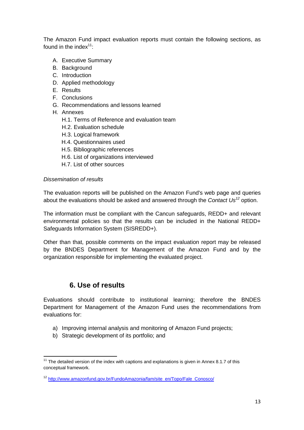The Amazon Fund impact evaluation reports must contain the following sections, as found in the index $11$ :

- A. Executive Summary
- B. Background
- C. Introduction
- D. Applied methodology
- E. Results
- F. Conclusions
- G. Recommendations and lessons learned
- H. Annexes
	- H.1. Terms of Reference and evaluation team
	- H.2. Evaluation schedule
	- H.3. Logical framework
	- H.4. Questionnaires used
	- H.5. Bibliographic references
	- H.6. List of organizations interviewed
	- H.7. List of other sources

#### Dissemination of results

l

The evaluation reports will be published on the Amazon Fund's web page and queries about the evaluations should be asked and answered through the Contact  $Us^{12}$  option.

The information must be compliant with the Cancun safeguards, REDD+ and relevant environmental policies so that the results can be included in the National REDD+ Safeguards Information System (SISREDD+).

Other than that, possible comments on the impact evaluation report may be released by the BNDES Department for Management of the Amazon Fund and by the organization responsible for implementing the evaluated project.

# **6. Use of results**

Evaluations should contribute to institutional learning; therefore the BNDES Department for Management of the Amazon Fund uses the recommendations from evaluations for:

- a) Improving internal analysis and monitoring of Amazon Fund projects;
- b) Strategic development of its portfolio; and

 $11$  The detailed version of the index with captions and explanations is given in Annex 8.1.7 of this conceptual framework.

<sup>12</sup> http://www.amazonfund.gov.br/FundoAmazonia/fam/site\_en/Topo/Fale\_Conosco/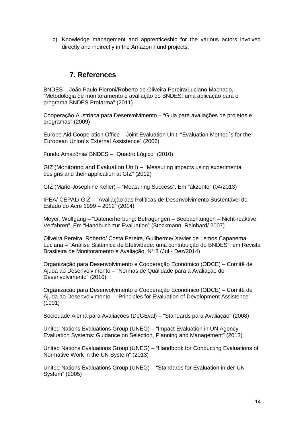c) Knowledge management and apprenticeship for the various actors involved directly and indirectly in the Amazon Fund projects.

# **7. References**

BNDES – João Paulo Pieroni/Roberto de Oliveira Pereira/Luciano Machado, "Metodologia de monitoramento e avaliação do BNDES: uma aplicação para o programa BNDES Profarma" (2011)

Cooperação Austríaca para Desenvolvimento – "Guia para avaliações de projetos e programas" (2009)

Europe Aid Cooperation Office – Joint Evaluation Unit, "Evaluation Method´s for the European Union´s External Assistence" (2006)

Fundo Amazônia/ BNDES – "Quadro Lógico" (2010)

GIZ (Monitoring and Evaluation Unit) – "Measuring impacts using experimental designs and their application at GIZ" (2012)

GIZ (Marie-Josephine Keller) – "Measuring Success". Em "akzente" (04/2013)

IPEA/ CEPAL/ GIZ – "Avaliação das Políticas de Desenvolvimento Sustentável do Estado do Acre 1999 – 2012" (2014)

Meyer, Wolfgang – "Datenerherbung: Befragungen – Beobachtungen – Nicht-reaktive Verfahren". Em "Handbuch zur Evaluation" (Stockmann, Reinhard/ 2007)

Oliveira Pereira, Roberto/ Costa Pereira, Guilherme/ Xavier de Lemos Capanema, Luciana – "Análise Sistêmica de Efetividade: uma contribuição do BNDES", em Revista Brasileira de Monitoramento e Avaliação, N° 8 (Jul - Dez/2014)

Organização para Desenvolvimento e Cooperação Econômico (ODCE) – Comitê de Ajuda ao Desenvolvimento – "Normas de Qualidade para a Avaliação do Desenvolvimento" (2010)

Organização para Desenvolvimento e Cooperação Econômico (ODCE) – Comitê de Ajuda ao Desenvolvimento – "Principles for Evaluation of Development Assistence" (1991)

Sociedade Alemã para Avaliações (DeGEval) – "Standards para Avaliação" (2008)

United Nations Evaluations Group (UNEG) – "Impact Evaluation in UN Agency Evaluation Systems: Guidance on Selection, Planning and Management" (2013)

United Nations Evaluations Group (UNEG) – "Handbook for Conducting Evaluations of Normative Work in the UN System" (2013)

United Nations Evaluations Group (UNEG) – "Standards for Evaluation in der UN System" (2005)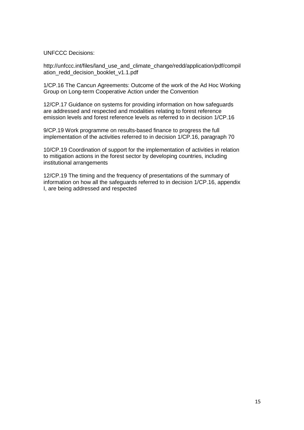#### UNFCCC Decisions:

http://unfccc.int/files/land\_use\_and\_climate\_change/redd/application/pdf/compil ation\_redd\_decision\_booklet\_v1.1.pdf

1/CP.16 The Cancun Agreements: Outcome of the work of the Ad Hoc Working Group on Long-term Cooperative Action under the Convention

12/CP.17 Guidance on systems for providing information on how safeguards are addressed and respected and modalities relating to forest reference emission levels and forest reference levels as referred to in decision 1/CP.16

9/CP.19 Work programme on results-based finance to progress the full implementation of the activities referred to in decision 1/CP.16, paragraph 70

10/CP.19 Coordination of support for the implementation of activities in relation to mitigation actions in the forest sector by developing countries, including institutional arrangements

12/CP.19 The timing and the frequency of presentations of the summary of information on how all the safeguards referred to in decision 1/CP.16, appendix I, are being addressed and respected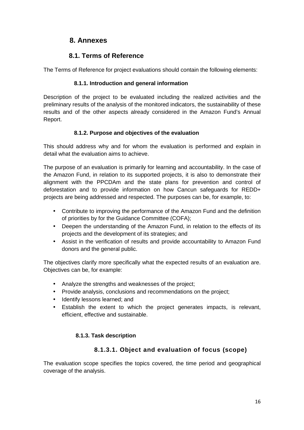# **8. Annexes**

# **8.1. Terms of Reference**

The Terms of Reference for project evaluations should contain the following elements:

# **8.1.1. Introduction and general information**

Description of the project to be evaluated including the realized activities and the preliminary results of the analysis of the monitored indicators, the sustainability of these results and of the other aspects already considered in the Amazon Fund's Annual Report.

# **8.1.2. Purpose and objectives of the evaluation**

This should address why and for whom the evaluation is performed and explain in detail what the evaluation aims to achieve.

The purpose of an evaluation is primarily for learning and accountability. In the case of the Amazon Fund, in relation to its supported projects, it is also to demonstrate their alignment with the PPCDAm and the state plans for prevention and control of deforestation and to provide information on how Cancun safeguards for REDD+ projects are being addressed and respected. The purposes can be, for example, to:

- Contribute to improving the performance of the Amazon Fund and the definition of priorities by for the Guidance Committee (COFA);
- Deepen the understanding of the Amazon Fund, in relation to the effects of its projects and the development of its strategies; and
- Assist in the verification of results and provide accountability to Amazon Fund donors and the general public.

The objectives clarify more specifically what the expected results of an evaluation are. Objectives can be, for example:

- Analyze the strengths and weaknesses of the project;
- Provide analysis, conclusions and recommendations on the project;
- Identify lessons learned; and
- Establish the extent to which the project generates impacts, is relevant, efficient, effective and sustainable.

# **8.1.3. Task description**

# **8.1.3.1. Object and evaluation of focus (scope)**

The evaluation scope specifies the topics covered, the time period and geographical coverage of the analysis.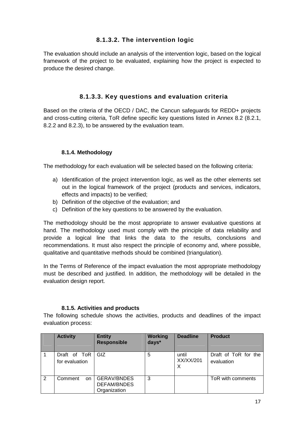# **8.1.3.2. The intervention logic**

The evaluation should include an analysis of the intervention logic, based on the logical framework of the project to be evaluated, explaining how the project is expected to produce the desired change.

# **8.1.3.3. Key questions and evaluation criteria**

Based on the criteria of the OECD / DAC, the Cancun safeguards for REDD+ projects and cross-cutting criteria, ToR define specific key questions listed in Annex 8.2 (8.2.1, 8.2.2 and 8.2.3), to be answered by the evaluation team.

# **8.1.4. Methodology**

The methodology for each evaluation will be selected based on the following criteria:

- a) Identification of the project intervention logic, as well as the other elements set out in the logical framework of the project (products and services, indicators, effects and impacts) to be verified;
- b) Definition of the objective of the evaluation; and
- c) Definition of the key questions to be answered by the evaluation.

The methodology should be the most appropriate to answer evaluative questions at hand. The methodology used must comply with the principle of data reliability and provide a logical line that links the data to the results, conclusions and recommendations. It must also respect the principle of economy and, where possible, qualitative and quantitative methods should be combined (triangulation).

In the Terms of Reference of the impact evaluation the most appropriate methodology must be described and justified. In addition, the methodology will be detailed in the evaluation design report.

# **8.1.5. Activities and products**

The following schedule shows the activities, products and deadlines of the impact evaluation process:

|                | <b>Activity</b>                  | <b>Entity</b><br><b>Responsible</b>                      | <b>Working</b><br>days* | <b>Deadline</b>         | <b>Product</b>                     |
|----------------|----------------------------------|----------------------------------------------------------|-------------------------|-------------------------|------------------------------------|
|                | Draft of ToR  <br>for evaluation | GIZ                                                      | 5                       | until<br>XX/XX/201<br>X | Draft of ToR for the<br>evaluation |
| $\overline{2}$ | Comment<br><b>on</b>             | <b>GERAV/BNDES</b><br><b>DEFAM/BNDES</b><br>Organization | 3                       |                         | ToR with comments                  |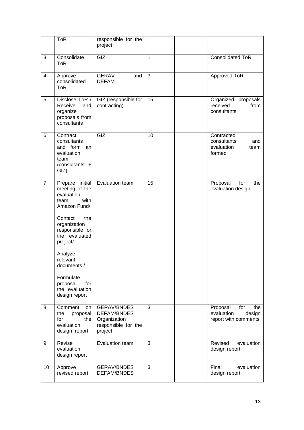|                | <b>ToR</b>                                                                                                                                                                                                                                                                 | responsible for the<br>project                                                             |    |                                                                        |
|----------------|----------------------------------------------------------------------------------------------------------------------------------------------------------------------------------------------------------------------------------------------------------------------------|--------------------------------------------------------------------------------------------|----|------------------------------------------------------------------------|
| 3              | Consolidate<br><b>ToR</b>                                                                                                                                                                                                                                                  | GIZ                                                                                        | 1  | <b>Consolidated ToR</b>                                                |
| $\overline{4}$ | Approve<br>consolidated<br><b>ToR</b>                                                                                                                                                                                                                                      | <b>GERAV</b><br>and<br><b>DEFAM</b>                                                        | 3  | Approved ToR                                                           |
| 5              | Disclose ToR /<br>Receive<br>and<br>organize<br>proposals from<br>consultants                                                                                                                                                                                              | GIZ (responsible for<br>contracting)                                                       | 15 | Organized proposals<br>received<br>from<br>consultants                 |
| 6              | Contract<br>consultants<br>and form<br>an<br>evaluation<br>team<br>(consultants +<br>GIZ)                                                                                                                                                                                  | $\overline{GIZ}$                                                                           | 10 | Contracted<br>consultants<br>and<br>evaluation<br>team<br>formed       |
| $\overline{7}$ | Prepare initial<br>meeting of the<br>evaluation<br>with<br>team<br>Amazon Fund/<br>Contact<br>the<br>organization<br>responsible for<br>the evaluated<br>project/<br>Analyze<br>relevant<br>documents /<br>Formulate<br>proposal<br>for<br>the evaluation<br>design report | Evaluation team                                                                            | 15 | Proposal<br>for<br>the<br>evaluation design                            |
| 8              | Comment<br>on<br>proposal<br>the<br>for<br>the<br>evaluation<br>design report                                                                                                                                                                                              | <b>GERAV/BNDES</b><br><b>DEFAM/BNDES</b><br>Organization<br>responsible for the<br>project | 3  | Proposal<br>for<br>the<br>evaluation<br>design<br>report with comments |
| 9              | Revise<br>evaluation<br>design report                                                                                                                                                                                                                                      | Evaluation team                                                                            | 3  | Revised<br>evaluation<br>design report                                 |
| 10             | Approve<br>revised report                                                                                                                                                                                                                                                  | <b>GERAV/BNDES</b><br>DEFAM/BNDES                                                          | 3  | Final<br>evaluation<br>design report                                   |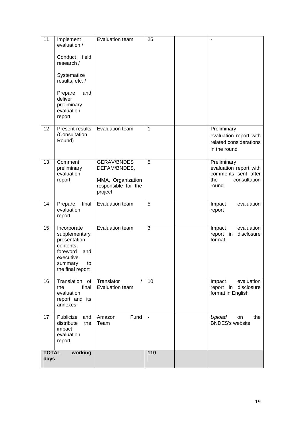| 11                              | Implement<br>evaluation /                                                                                                      | <b>Evaluation team</b>                                                                    | 25               |                                                                                              |
|---------------------------------|--------------------------------------------------------------------------------------------------------------------------------|-------------------------------------------------------------------------------------------|------------------|----------------------------------------------------------------------------------------------|
|                                 | Conduct field<br>research /                                                                                                    |                                                                                           |                  |                                                                                              |
|                                 | Systematize<br>results, etc. /                                                                                                 |                                                                                           |                  |                                                                                              |
|                                 | Prepare<br>and<br>deliver<br>preliminary<br>evaluation<br>report                                                               |                                                                                           |                  |                                                                                              |
| 12                              | Present results<br>(Consultation<br>Round)                                                                                     | Evaluation team                                                                           | 1                | Preliminary<br>evaluation report with<br>related considerations<br>in the round              |
| 13                              | Comment<br>preliminary<br>evaluation<br>report                                                                                 | <b>GERAV/BNDES</b><br>DEFAM/BNDES,<br>MMA, Organization<br>responsible for the<br>project | 5                | Preliminary<br>evaluation report with<br>comments sent after<br>the<br>consultation<br>round |
| $1\overline{4}$                 | final<br>Prepare<br>evaluation<br>report                                                                                       | Evaluation team                                                                           | 5                | evaluation<br>Impact<br>report                                                               |
| 15                              | Incorporate<br>supplementary<br>presentation<br>contents,<br>foreword<br>and<br>executive<br>summary<br>to<br>the final report | Evaluation team                                                                           | 3                | evaluation<br>Impact<br>disclosure<br>report in<br>format                                    |
| 16                              | Translation of<br>final<br>the<br>evaluation<br>report and its<br>annexes                                                      | Translator<br>Evaluation team                                                             | 10               | evaluation<br>Impact<br>report in disclosure<br>format in English                            |
| 17                              | Publicize<br>and<br>distribute<br>the<br>impact<br>evaluation<br>report                                                        | Fund<br>Amazon<br>Team                                                                    |                  | Upload<br>the<br>on<br><b>BNDES's website</b>                                                |
| <b>TOTAL</b><br>working<br>days |                                                                                                                                |                                                                                           | $\overline{110}$ |                                                                                              |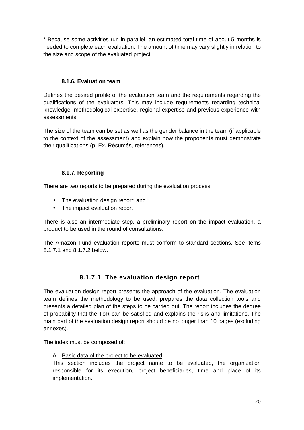\* Because some activities run in parallel, an estimated total time of about 5 months is needed to complete each evaluation. The amount of time may vary slightly in relation to the size and scope of the evaluated project.

# **8.1.6. Evaluation team**

Defines the desired profile of the evaluation team and the requirements regarding the qualifications of the evaluators. This may include requirements regarding technical knowledge, methodological expertise, regional expertise and previous experience with assessments.

The size of the team can be set as well as the gender balance in the team (if applicable to the context of the assessment) and explain how the proponents must demonstrate their qualifications (p. Ex. Résumés, references).

# **8.1.7. Reporting**

There are two reports to be prepared during the evaluation process:

- The evaluation design report; and
- The impact evaluation report

There is also an intermediate step, a preliminary report on the impact evaluation, a product to be used in the round of consultations.

The Amazon Fund evaluation reports must conform to standard sections. See items 8.1.7.1 and 8.1.7.2 below.

# **8.1.7.1. The evaluation design report**

The evaluation design report presents the approach of the evaluation. The evaluation team defines the methodology to be used, prepares the data collection tools and presents a detailed plan of the steps to be carried out. The report includes the degree of probability that the ToR can be satisfied and explains the risks and limitations. The main part of the evaluation design report should be no longer than 10 pages (excluding annexes).

The index must be composed of:

# A. Basic data of the project to be evaluated

This section includes the project name to be evaluated, the organization responsible for its execution, project beneficiaries, time and place of its implementation.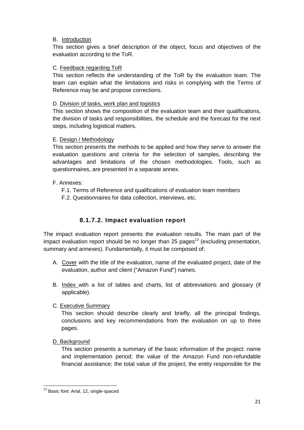# B. Introduction

This section gives a brief description of the object, focus and objectives of the evaluation according to the ToR.

# C. Feedback regarding ToR

This section reflects the understanding of the ToR by the evaluation team. The team can explain what the limitations and risks in complying with the Terms of Reference may be and propose corrections.

# D. Division of tasks, work plan and logistics

This section shows the composition of the evaluation team and their qualifications, the division of tasks and responsibilities, the schedule and the forecast for the next steps, including logistical matters.

# E. Design / Methodology

This section presents the methods to be applied and how they serve to answer the evaluation questions and criteria for the selection of samples, describing the advantages and limitations of the chosen methodologies. Tools, such as questionnaires, are presented in a separate annex.

# F. Annexes:

F.1. Terms of Reference and qualifications of evaluation team members F.2. Questionnaires for data collection, interviews, etc.

# **8.1.7.2. Impact evaluation report**

The impact evaluation report presents the evaluation results. The main part of the impact evaluation report should be no longer than  $25$  pages<sup>13</sup> (excluding presentation, summary and annexes). Fundamentally, it must be composed of:

- A. Cover with the title of the evaluation, name of the evaluated project, date of the evaluation, author and client ("Amazon Fund") names.
- B. Index with a list of tables and charts, list of abbreviations and glossary (if applicable).

# C. Executive Summary

This section should describe clearly and briefly, all the principal findings, conclusions and key recommendations from the evaluation on up to three pages.

# D. Background

l

This section presents a summary of the basic information of the project: name and implementation period; the value of the Amazon Fund non-refundable financial assistance; the total value of the project; the entity responsible for the

<sup>&</sup>lt;sup>13</sup> Basic font: Arial, 12, single-spaced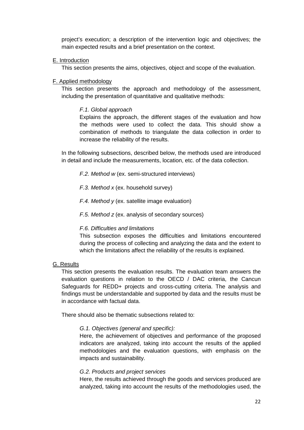project's execution; a description of the intervention logic and objectives; the main expected results and a brief presentation on the context.

E. Introduction

This section presents the aims, objectives, object and scope of the evaluation.

# F. Applied methodology

This section presents the approach and methodology of the assessment, including the presentation of quantitative and qualitative methods:

# F.1. Global approach

Explains the approach, the different stages of the evaluation and how the methods were used to collect the data. This should show a combination of methods to triangulate the data collection in order to increase the reliability of the results.

In the following subsections, described below, the methods used are introduced in detail and include the measurements, location, etc. of the data collection.

- F.2. Method w (ex. semi-structured interviews)
- F.3. Method x (ex. household survey)
- F.4. Method y (ex. satellite image evaluation)
- F.5. Method z (ex. analysis of secondary sources)

# F.6. Difficulties and limitations

This subsection exposes the difficulties and limitations encountered during the process of collecting and analyzing the data and the extent to which the limitations affect the reliability of the results is explained.

#### G. Results

This section presents the evaluation results. The evaluation team answers the evaluation questions in relation to the OECD / DAC criteria, the Cancun Safeguards for REDD+ projects and cross-cutting criteria. The analysis and findings must be understandable and supported by data and the results must be in accordance with factual data.

There should also be thematic subsections related to:

# G.1. Objectives (general and specific):

Here, the achievement of objectives and performance of the proposed indicators are analyzed, taking into account the results of the applied methodologies and the evaluation questions, with emphasis on the impacts and sustainability.

#### G.2. Products and project services

Here, the results achieved through the goods and services produced are analyzed, taking into account the results of the methodologies used, the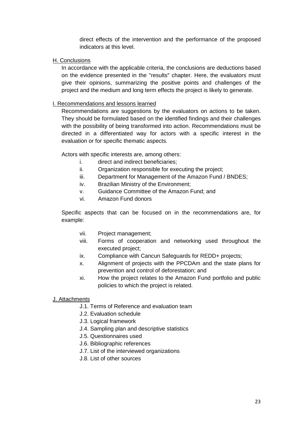direct effects of the intervention and the performance of the proposed indicators at this level.

### H. Conclusions

In accordance with the applicable criteria, the conclusions are deductions based on the evidence presented in the "results" chapter. Here, the evaluators must give their opinions, summarizing the positive points and challenges of the project and the medium and long term effects the project is likely to generate.

### I. Recommendations and lessons learned

Recommendations are suggestions by the evaluators on actions to be taken. They should be formulated based on the identified findings and their challenges with the possibility of being transformed into action. Recommendations must be directed in a differentiated way for actors with a specific interest in the evaluation or for specific thematic aspects.

Actors with specific interests are, among others:

- i. direct and indirect beneficiaries;
- ii. Organization responsible for executing the project;
- iii. Department for Management of the Amazon Fund / BNDES;
- iv. Brazilian Ministry of the Environment;
- v. Guidance Committee of the Amazon Fund; and
- vi. Amazon Fund donors

Specific aspects that can be focused on in the recommendations are, for example:

- vii. Project management;
- viii. Forms of cooperation and networking used throughout the executed project;
- ix. Compliance with Cancun Safeguards for REDD+ projects;
- x. Alignment of projects with the PPCDAm and the state plans for prevention and control of deforestation; and
- xi. How the project relates to the Amazon Fund portfolio and public policies to which the project is related.

# J. Attachments

- J.1. Terms of Reference and evaluation team
- J.2. Evaluation schedule
- J.3. Logical framework
- J.4. Sampling plan and descriptive statistics
- J.5. Questionnaires used
- J.6. Bibliographic references
- J.7. List of the interviewed organizations
- J.8. List of other sources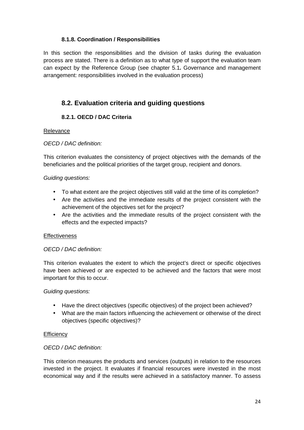# **8.1.8. Coordination / Responsibilities**

In this section the responsibilities and the division of tasks during the evaluation process are stated. There is a definition as to what type of support the evaluation team can expect by the Reference Group (see chapter 5.1**.** Governance and management arrangement: responsibilities involved in the evaluation process)

# **8.2. Evaluation criteria and guiding questions**

# **8.2.1. OECD / DAC Criteria**

# **Relevance**

# OECD / DAC definition:

This criterion evaluates the consistency of project objectives with the demands of the beneficiaries and the political priorities of the target group, recipient and donors.

#### Guiding questions:

- To what extent are the project objectives still valid at the time of its completion?
- Are the activities and the immediate results of the project consistent with the achievement of the objectives set for the project?
- Are the activities and the immediate results of the project consistent with the effects and the expected impacts?

#### **Effectiveness**

#### OECD / DAC definition:

This criterion evaluates the extent to which the project's direct or specific objectives have been achieved or are expected to be achieved and the factors that were most important for this to occur.

#### Guiding questions:

- Have the direct objectives (specific objectives) of the project been achieved?
- What are the main factors influencing the achievement or otherwise of the direct objectives (specific objectives)?

#### **Efficiency**

#### OECD / DAC definition:

This criterion measures the products and services (outputs) in relation to the resources invested in the project. It evaluates if financial resources were invested in the most economical way and if the results were achieved in a satisfactory manner. To assess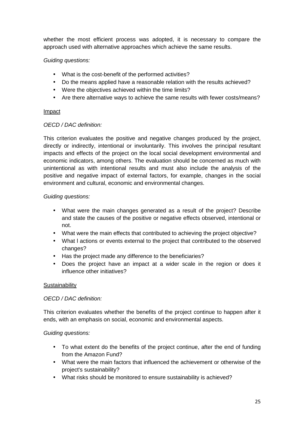whether the most efficient process was adopted, it is necessary to compare the approach used with alternative approaches which achieve the same results.

# Guiding questions:

- What is the cost-benefit of the performed activities?
- Do the means applied have a reasonable relation with the results achieved?
- Were the objectives achieved within the time limits?
- Are there alternative ways to achieve the same results with fewer costs/means?

# Impact

# OECD / DAC definition:

This criterion evaluates the positive and negative changes produced by the project, directly or indirectly, intentional or involuntarily. This involves the principal resultant impacts and effects of the project on the local social development environmental and economic indicators, among others. The evaluation should be concerned as much with unintentional as with intentional results and must also include the analysis of the positive and negative impact of external factors, for example, changes in the social environment and cultural, economic and environmental changes.

# Guiding questions:

- What were the main changes generated as a result of the project? Describe and state the causes of the positive or negative effects observed, intentional or not.
- What were the main effects that contributed to achieving the project objective?
- What l actions or events external to the project that contributed to the observed changes?
- Has the project made any difference to the beneficiaries?
- Does the project have an impact at a wider scale in the region or does it influence other initiatives?

# **Sustainability**

# OECD / DAC definition:

This criterion evaluates whether the benefits of the project continue to happen after it ends, with an emphasis on social, economic and environmental aspects.

# Guiding questions:

- To what extent do the benefits of the project continue, after the end of funding from the Amazon Fund?
- What were the main factors that influenced the achievement or otherwise of the project's sustainability?
- What risks should be monitored to ensure sustainability is achieved?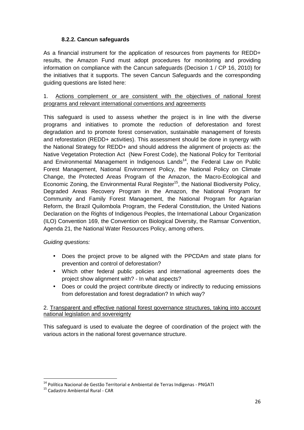# **8.2.2. Cancun safeguards**

As a financial instrument for the application of resources from payments for REDD+ results, the Amazon Fund must adopt procedures for monitoring and providing information on compliance with the Cancun safeguards (Decision 1 / CP 16, 2010) for the initiatives that it supports. The seven Cancun Safeguards and the corresponding guiding questions are listed here:

# 1. Actions complement or are consistent with the objectives of national forest programs and relevant international conventions and agreements

This safeguard is used to assess whether the project is in line with the diverse programs and initiatives to promote the reduction of deforestation and forest degradation and to promote forest conservation, sustainable management of forests and reforestation (REDD+ activities). This assessment should be done in synergy with the National Strategy for REDD+ and should address the alignment of projects as: the Native Vegetation Protection Act (New Forest Code), the National Policy for Territorial and Environmental Management in Indigenous Lands<sup>14</sup>, the Federal Law on Public Forest Management, National Environment Policy, the National Policy on Climate Change, the Protected Areas Program of the Amazon, the Macro-Ecological and Economic Zoning, the Environmental Rural Register<sup>15</sup>, the National Biodiversity Policy, Degraded Areas Recovery Program in the Amazon, the National Program for Community and Family Forest Management, the National Program for Agrarian Reform, the Brazil Quilombola Program, the Federal Constitution, the United Nations Declaration on the Rights of Indigenous Peoples, the International Labour Organization (ILO) Convention 169, the Convention on Biological Diversity, the Ramsar Convention, Agenda 21, the National Water Resources Policy, among others.

Guiding questions:

- Does the project prove to be aligned with the PPCDAm and state plans for prevention and control of deforestation?
- Which other federal public policies and international agreements does the project show alignment with? - In what aspects?
- Does or could the project contribute directly or indirectly to reducing emissions from deforestation and forest degradation? In which way?

# 2. Transparent and effective national forest governance structures, taking into account national legislation and sovereignty

This safeguard is used to evaluate the degree of coordination of the project with the various actors in the national forest governance structure.

 $\overline{a}$ 

<sup>14</sup> Política Nacional de Gestão Territorial e Ambiental de Terras Indígenas - PNGATI

<sup>15</sup> Cadastro Ambiental Rural - CAR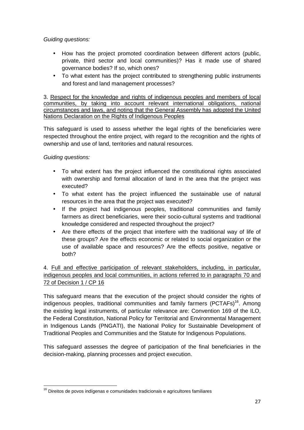# Guiding questions:

- How has the project promoted coordination between different actors (public, private, third sector and local communities)? Has it made use of shared governance bodies? If so, which ones?
- To what extent has the project contributed to strengthening public instruments and forest and land management processes?

3. Respect for the knowledge and rights of indigenous peoples and members of local communities, by taking into account relevant international obligations, national circumstances and laws, and noting that the General Assembly has adopted the United Nations Declaration on the Rights of Indigenous Peoples

This safeguard is used to assess whether the legal rights of the beneficiaries were respected throughout the entire project, with regard to the recognition and the rights of ownership and use of land, territories and natural resources.

Guiding questions:

- To what extent has the project influenced the constitutional rights associated with ownership and formal allocation of land in the area that the project was executed?
- To what extent has the project influenced the sustainable use of natural resources in the area that the project was executed?
- If the project had indigenous peoples, traditional communities and family farmers as direct beneficiaries, were their socio-cultural systems and traditional knowledge considered and respected throughout the project?
- Are there effects of the project that interfere with the traditional way of life of these groups? Are the effects economic or related to social organization or the use of available space and resources? Are the effects positive, negative or both?

4. Full and effective participation of relevant stakeholders, including, in particular, indigenous peoples and local communities, in actions referred to in paragraphs 70 and 72 of Decision 1 / CP 16

This safeguard means that the execution of the project should consider the rights of indigenous peoples, traditional communities and family farmers (PCTAFs)<sup>16</sup>. Among the existing legal instruments, of particular relevance are: Convention 169 of the ILO, the Federal Constitution, National Policy for Territorial and Environmental Management in Indigenous Lands (PNGATI), the National Policy for Sustainable Development of Traditional Peoples and Communities and the Statute for Indigenous Populations.

This safeguard assesses the degree of participation of the final beneficiaries in the decision-making, planning processes and project execution.

l  $16$  Direitos de povos indígenas e comunidades tradicionais e agricultores familiares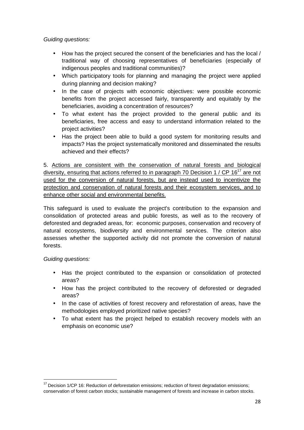Guiding questions:

- How has the project secured the consent of the beneficiaries and has the local / traditional way of choosing representatives of beneficiaries (especially of indigenous peoples and traditional communities)?
- Which participatory tools for planning and managing the project were applied during planning and decision making?
- In the case of projects with economic objectives: were possible economic benefits from the project accessed fairly, transparently and equitably by the beneficiaries, avoiding a concentration of resources?
- To what extent has the project provided to the general public and its beneficiaries, free access and easy to understand information related to the project activities?
- Has the project been able to build a good system for monitoring results and impacts? Has the project systematically monitored and disseminated the results achieved and their effects?

5. Actions are consistent with the conservation of natural forests and biological diversity, ensuring that actions referred to in paragraph 70 Decision 1 / CP  $16^{17}$  are not used for the conversion of natural forests, but are instead used to incentivize the protection and conservation of natural forests and their ecosystem services, and to enhance other social and environmental benefits.

This safeguard is used to evaluate the project's contribution to the expansion and consolidation of protected areas and public forests, as well as to the recovery of deforested and degraded areas, for: economic purposes, conservation and recovery of natural ecosystems, biodiversity and environmental services. The criterion also assesses whether the supported activity did not promote the conversion of natural forests.

Guiding questions:

l

- Has the project contributed to the expansion or consolidation of protected areas?
- How has the project contributed to the recovery of deforested or degraded areas?
- In the case of activities of forest recovery and reforestation of areas, have the methodologies employed prioritized native species?
- To what extent has the project helped to establish recovery models with an emphasis on economic use?

<sup>&</sup>lt;sup>17</sup> Decision 1/CP 16: Reduction of deforestation emissions; reduction of forest degradation emissions; conservation of forest carbon stocks; sustainable management of forests and increase in carbon stocks.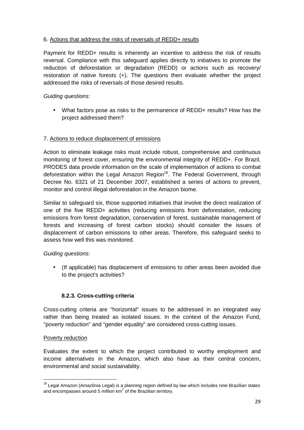# 6. Actions that address the risks of reversals of REDD+ results

Payment for REDD+ results is inherently an incentive to address the risk of results reversal. Compliance with this safeguard applies directly to initiatives to promote the reduction of deforestation or degradation (REDD) or actions such as recovery/ restoration of native forests (+). The questions then evaluate whether the project addressed the risks of reversals of those desired results.

# Guiding questions:

• What factors pose as risks to the permanence of REDD+ results? How has the project addressed them?

# 7. Actions to reduce displacement of emissions

Action to eliminate leakage risks must include robust, comprehensive and continuous monitoring of forest cover, ensuring the environmental integrity of REDD+. For Brazil, PRODES data provide information on the scale of implementation of actions to combat deforestation within the Legal Amazon Region<sup>18</sup>. The Federal Government, through Decree No. 6321 of 21 December 2007, established a series of actions to prevent, monitor and control illegal deforestation in the Amazon biome.

Similar to safeguard six, those supported initiatives that involve the direct realization of one of the five REDD+ activities (reducing emissions from deforestation, reducing emissions from forest degradation, conservation of forest, sustainable management of forests and increasing of forest carbon stocks) should consider the issues of displacement of carbon emissions to other areas. Therefore, this safeguard seeks to assess how well this was monitored.

#### Guiding questions:

• (If applicable) has displacement of emissions to other areas been avoided due to the project's activities?

# **8.2.3. Cross-cutting criteria**

Cross-cutting criteria are "horizontal" issues to be addressed in an integrated way rather than being treated as isolated issues. In the context of the Amazon Fund, "poverty reduction" and "gender equality" are considered cross-cutting issues.

#### Poverty reduction

l

Evaluates the extent to which the project contributed to worthy employment and income alternatives in the Amazon, which also have as their central concern, environmental and social sustainability.

 $18$  Legal Amazon (Amazônia Legal) is a planning region defined by law which includes nine Brazilian states and encompasses around 5 million  $km^2$  of the Brazilian territory.